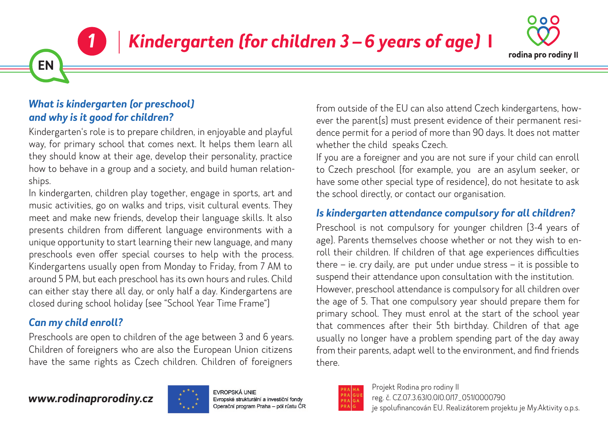# *Kindergarten (for children 3 – 6 years of age)* **I**



### *What is kindergarten (or preschool) and why is it good for children?*

*1*

**EN**

Kindergarten's role is to prepare children, in enjoyable and playful way, for primary school that comes next. It helps them learn all they should know at their age, develop their personality, practice how to behave in a group and a society, and build human relationships.

In kindergarten, children play together, engage in sports, art and music activities, go on walks and trips, visit cultural events. They meet and make new friends, develop their language skills. It also presents children from different language environments with a unique opportunity to start learning their new language, and many preschools even offer special courses to help with the process. Kindergartens usually open from Monday to Friday, from 7 AM to around 5 PM, but each preschool has its own hours and rules. Child can either stay there all day, or only half a day. Kindergartens are closed during school holiday (see "School Year Time Frame")

## *Can my child enroll?*

Preschools are open to children of the age between 3 and 6 years. Children of foreigners who are also the European Union citizens have the same rights as Czech children. Children of foreigners from outside of the EU can also attend Czech kindergartens, however the parent(s) must present evidence of their permanent residence permit for a period of more than 90 days. It does not matter whether the child speaks Czech.

If you are a foreigner and you are not sure if your child can enroll to Czech preschool (for example, you are an asylum seeker, or have some other special type of residence), do not hesitate to ask the school directly, or contact our organisation.

## *Is kindergarten attendance compulsory for all children?*

Preschool is not compulsory for younger children (3-4 years of age). Parents themselves choose whether or not they wish to enroll their children. If children of that age experiences difficulties there – ie. cry daily, are put under undue stress – it is possible to suspend their attendance upon consultation with the institution. However, preschool attendance is compulsory for all children over the age of 5. That one compulsory year should prepare them for primary school. They must enrol at the start of the school year that commences after their 5th birthday. Children of that age usually no longer have a problem spending part of the day away from their parents, adapt well to the environment, and find friends there.

## *www.rodinaprorodiny.cz*